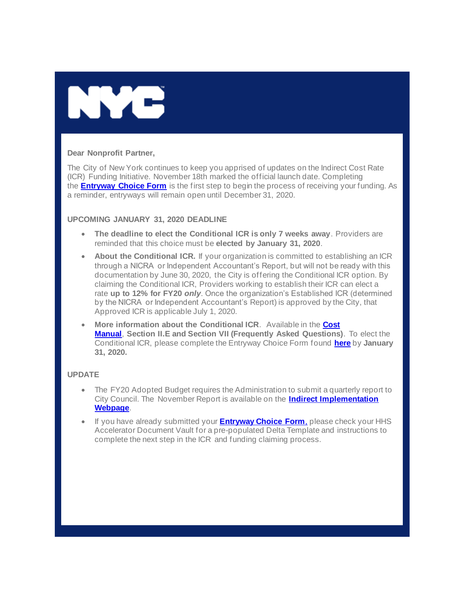

## **Dear Nonprofit Partner,**

The City of New York continues to keep you apprised of updates on the Indirect Cost Rate (ICR) Funding Initiative. November 18th marked the official launch date. Completing the **Entryway [Choice Form](https://gcc01.safelinks.protection.outlook.com/?url=https%3A%2F%2Fwww1.nyc.gov%2Fsite%2Fnonprofits%2Ffunded-providers%2Findirect-entryway-choice-form.page%3Futm_medium%3Demail%26utm_source%3Dgovdelivery&data=02%7C01%7Coluwa.small%40mocs.nyc.gov%7C9445914fde8f4800216508d77d8a1c73%7C32f56fc75f814e22a95b15da66513bef%7C0%7C0%7C637115904477922947&sdata=AcODlojmEbZf6ShiXfQh%2BPuiQ9aLE3y%2BwgE4o1wwm8k%3D&reserved=0)** is the first step to begin the process of receiving your funding. As a reminder, entryways will remain open until December 31, 2020.

## **UPCOMING JANUARY 31, 2020 DEADLINE**

- **The deadline to elect the Conditional ICR is only 7 weeks away**. Providers are reminded that this choice must be **elected by January 31, 2020**.
- **About the Conditional ICR.** If your organization is committed to establishing an ICR through a NICRA or Independent Accountant's Report, but will not be ready with this documentation by June 30, 2020, the City is offering the Conditional ICR option. By claiming the Conditional ICR, Providers working to establish their ICR can elect a rate **up to 12% for FY20** *only*. Once the organization's Established ICR (determined by the NICRA or Independent Accountant's Report) is approved by the City, that Approved ICR is applicable July 1, 2020.
- **More information about the Conditional ICR**. Available in the **[Cost](https://gcc01.safelinks.protection.outlook.com/?url=https%3A%2F%2Fwww1.nyc.gov%2Fassets%2Fnonprofits%2Fdownloads%2Fpdf%2FNYC%2520HHS%2520Cost%2520Policies%2520and%2520Procedures%2520Manual.pdf%3Futm_medium%3Demail%26utm_source%3Dgovdelivery&data=02%7C01%7Coluwa.small%40mocs.nyc.gov%7C9445914fde8f4800216508d77d8a1c73%7C32f56fc75f814e22a95b15da66513bef%7C0%7C0%7C637115904477922947&sdata=z9Y2k5mZ2Q8ldwCyO3phLsEXXVZYF3Mf8io6U9bg3wQ%3D&reserved=0) [Manual](https://gcc01.safelinks.protection.outlook.com/?url=https%3A%2F%2Fwww1.nyc.gov%2Fassets%2Fnonprofits%2Fdownloads%2Fpdf%2FNYC%2520HHS%2520Cost%2520Policies%2520and%2520Procedures%2520Manual.pdf%3Futm_medium%3Demail%26utm_source%3Dgovdelivery&data=02%7C01%7Coluwa.small%40mocs.nyc.gov%7C9445914fde8f4800216508d77d8a1c73%7C32f56fc75f814e22a95b15da66513bef%7C0%7C0%7C637115904477922947&sdata=z9Y2k5mZ2Q8ldwCyO3phLsEXXVZYF3Mf8io6U9bg3wQ%3D&reserved=0)**, **Section II.E and Section VII (Frequently Asked Questions)**. To elect the Conditional ICR, please complete the Entryway Choice Form found **[here](https://gcc01.safelinks.protection.outlook.com/?url=https%3A%2F%2Fwww1.nyc.gov%2Fsite%2Fnonprofits%2Ffunded-providers%2Findirect-entryway-choice-form.page%3Futm_medium%3Demail%26utm_source%3Dgovdelivery&data=02%7C01%7Coluwa.small%40mocs.nyc.gov%7C9445914fde8f4800216508d77d8a1c73%7C32f56fc75f814e22a95b15da66513bef%7C0%7C0%7C637115904477932940&sdata=Ph1rHkqEFotheftEiiY4VULQlkz0eJNiZj168Myg%2Bbw%3D&reserved=0)** by **January 31, 2020.**

## **UPDATE**

- The FY20 Adopted Budget requires the Administration to submit a quarterly report to City Council. The November Report is available on the **[Indirect Implementation](https://gcc01.safelinks.protection.outlook.com/?url=https%3A%2F%2Fwww1.nyc.gov%2Fsite%2Fnonprofits%2Ffunded-providers%2Findirect-implementation.page%3Futm_medium%3Demail%26utm_source%3Dgovdelivery&data=02%7C01%7Coluwa.small%40mocs.nyc.gov%7C9445914fde8f4800216508d77d8a1c73%7C32f56fc75f814e22a95b15da66513bef%7C0%7C0%7C637115904477932940&sdata=9W2yimY3Mqq1LoTlhjjlpiLg8AOUTRuSLiOtq0th5uU%3D&reserved=0)  [Webpage](https://gcc01.safelinks.protection.outlook.com/?url=https%3A%2F%2Fwww1.nyc.gov%2Fsite%2Fnonprofits%2Ffunded-providers%2Findirect-implementation.page%3Futm_medium%3Demail%26utm_source%3Dgovdelivery&data=02%7C01%7Coluwa.small%40mocs.nyc.gov%7C9445914fde8f4800216508d77d8a1c73%7C32f56fc75f814e22a95b15da66513bef%7C0%7C0%7C637115904477932940&sdata=9W2yimY3Mqq1LoTlhjjlpiLg8AOUTRuSLiOtq0th5uU%3D&reserved=0)**.
- If you have already submitted your **[Entryway Choice Form](https://gcc01.safelinks.protection.outlook.com/?url=https%3A%2F%2Fwww1.nyc.gov%2Fsite%2Fnonprofits%2Ffunded-providers%2Findirect-entryway-choice-form.page%3Futm_medium%3Demail%26utm_source%3Dgovdelivery&data=02%7C01%7Coluwa.small%40mocs.nyc.gov%7C9445914fde8f4800216508d77d8a1c73%7C32f56fc75f814e22a95b15da66513bef%7C0%7C0%7C637115904477932940&sdata=Ph1rHkqEFotheftEiiY4VULQlkz0eJNiZj168Myg%2Bbw%3D&reserved=0)**, please check your HHS Accelerator Document Vault for a pre-populated Delta Template and instructions to complete the next step in the ICR and funding claiming process.